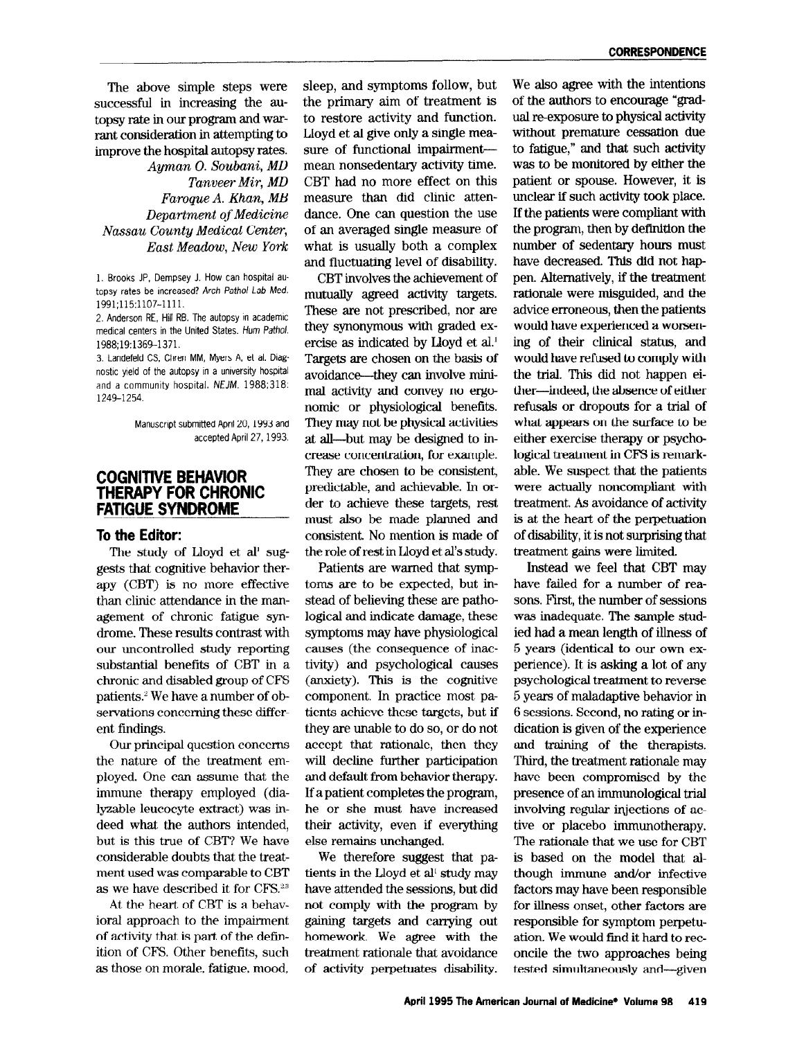The above simple steps were successful in increasing the autopsy rate in our program and warrant consideration in attempting to improve the hospital autopsy rates. Ayman O. Soubani, MD

Tanveer Mir, MD Faroque A. Khan, MB Department of Medicine Nassau County Medical Center, East Meadow, New York

1. Brooks JP, Dempsey J. How can hospital autopsy rates be increased? Arch Pathol Lab Med. 1991;115:1107-1111.

2. Anderson RE, Hill RB. The autopsy in academic medical centers in the United States. Hum Pathol. 1988;19:1369-1371.

3. Landefeld CS. Chren MM, Myers A, et al. Diagnostic yield of the autopsy m a unwersity hospital and a community hospital. NEJM. 1988;318: 1249-1254.

> Manuscript submitted April 20, 1993 and accepted April 27, 1993.

## COGNITIVE BEHAVIOR THERAPY FOR CHRONIC FATlGUE SYNQROME

## To the Editor:

The study of Lloyd et al' suggests that cognitive behavior therapy (CBT) is no more effective than clinic attendance in the management of chronic fatigue syndrome. These results contrast with our uncontrolled study reporting substantial benefits of CBT in a chronic and disabled group of CFS patients." We have a number of observations concerning these different findings.

Our principal question concerns the nature of the treatment employed. One can assume that the immune therapy employed (dialyzable leucocyte extract) was indeed what the authors intended, but is this true of CBT? We have considerable doubts that the treatment used was comparable to CBT as we have described it for CFS.<sup>23</sup>  $A_{\text{L}}$  is a behave described in form  $\sigma$ .

in the individual to  $\frac{1}{2}$  is a being ioral approach to the impairment of activity that is part of the definition of CFS. Other benefits, such<br>as those on morale, fatigue, mood, sleep, and symptoms follow, but the primary aim of treatment is to restore activity and function. Lloyd et al give only a single measure of functional impairment mean nonsedentary activity time. CBT had no more effect on this measure than did clinic attendance. One can question the use of an averaged single measure of what is usually both a complex and fluctuating level of disability.

CBT involves the achievement of mutually agreed activity targets. These are not prescribed, nor are they synonymous with graded exercise as indicated by Lloyd et al.' Targets are chosen on the basis of avoidance--they can involve minimal activity and convey no ergonomic or physiological benefits. They may not be physical activities at all-but may be designed to increase concentration, for example. They are chosen to be consistent, predictable, and achievable. In order to achieve these targets, rest must also be made planned and consistent. No mention is made of the role of rest in Lloyd et al's study.

Patients are warned that symptoms are to be expected, but instead of believing these are pathological and indicate damage, these symptoms may have physiological causes (the consequence of inactivity) and psychological causes (anxiety). This is the cognitive component. In practice most patients achieve these targets, but if they are unable to do so, or do not accept that rationale, then they will decline further participation and default from behavior therapy. If a patient completes the program, he or she must have increased their activity, even if everything else remains unchanged.

We therefore suggest that patients in the Lloyd et all study may  $h = \frac{1}{2}$  and  $\frac{1}{2}$  and  $\frac{1}{2}$  and  $\frac{1}{2}$  and  $\frac{1}{2}$  and  $\frac{1}{2}$ have attended the sessions, but did<br>not comply with the program by gaining targets and carrying out homework. We agree with the treatment rationale that an of california activitate una avoidante

We also agree with the intentions of the authors to encourage "gradual re-exposure to physical activity without premature cessation due to fatigue," and that such activity was to be monitored by either the patient or spouse. However, it is unclear if such activity took place. If the patients were compliant with the program, then by definition the number of sedentary hours must have decreased. This did not happen. Alternatively, if the treatment rationale were misguided, and the advice erroneous, then the patients would have experienced a worsening of their clinical status, and would have refused to comply with the trial. This did not happen either-indeed, the absence of either refusals or dropouts for a trial of what appears on the surface to be either exercise therapy or psychological treatment in CFS is remarkable. We suspect that the patients were actually noncompliant with treatment. As avoidance of activity is at the heart of the perpetuation of disability, it is not surprising that treatment gains were limited.

Instead we feel that CBT may have failed for a number of reasons. F'irst, the number of sessions was inadequate. The sample studied had a mean length of illness of 5 years (identical to our own experience). It is asking a lot of any psychological treatment to reverse 5 years of maladaptive behavior in 6 sessions. Second, no rating or indication is given of the experience and training of the therapists. Third, the treatment rationale may have been compromised by the presence of an immunological trial involving regular injections of active or placebo immunotherapy. The rationale that we use for CBT is based on the model that although immune and/or infective factors may have been responsible for illness onset, other factors are responsible for symptom perpeturesponsive for symptom perpetu  $\frac{1}{2}$  once the two approaches being being being being being  $\frac{1}{2}$ oncile the two approaches being<br>tested simultaneously and—given